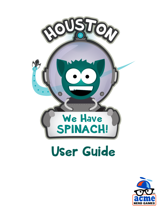

## User Guide

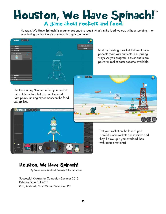# Houston, We Have Spinach!"<br>A game about rockets and food.

Houston, We Have Spinach! is a game designed to teach what's in the food we eat, without scolding — or even letting on that there's any teaching going on at all!



Start by building a rocket. Different components react with nutrients in surprising ways. As you progress, newer and more powerful rocket parts become available.

볶

Use the loading 'Copter to fuel your rocket, but watch out for obstacles on the way! Earn points running experiments on the food you gather.

LAUNCHPAD &



Test your rocket on the launch pad. Careful! Some rockets are sensitive and they'll blow up if you overload them with certain nutrients!

#### Houston, We Have Spinach!

By Bo Monroe, Michael Flaherty & Tarah Heimes

Successful Kickstarter Campaign Summer 2016 Release Date Fall 2017 iOS, Android, MacOS and Windows PC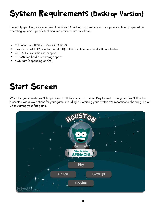#### System Requirements (Desktop Version)

Generally speaking, *Houston, We Have Spinach!* will run on most modern computers with fairly up-to-date operating systems. Specific technical requirements are as follows:

- OS: Windows XP SP2+, Mac OS X 10.9+
- Graphics card: DX9 (shader model 3.0) or DX11 with feature level 9.3 capabilities
- CPU: SSE2 instruction set support
- 300MB free hard drive storage space
- 4GB Ram (depending on OS)

#### Start Screen

When the game starts, you'll be presented with four options. Choose Play to start a new game. You'll then be presented wih a few options for your game, including customizing your avatar. We recommend choosing "Easy" when starting your first game.

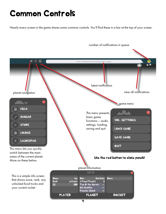#### Common Controls

Nearly every screen in the game shares some common controls. You'll find these in a bar at the top of your screen.



4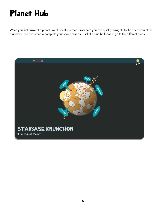#### Planet Hub

When you first arrive at a planet, you'll see this screen. From here you can quickly navigate to the each area of the planet you need in order to complete your space mission. Click the blue balloons to go to the different areas.

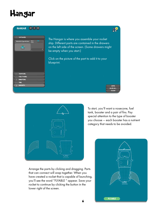#### Hangar





Arrange the parts by clicking and dragging. Parts that can connect will snap together. When you have created a rocket that is capable of launching, you'll see the word "FLYABLE " appear. Save your rocket to continue by clicking the button in the lower right of the screen.

To start, you'll want a nosecone, fuel tank, booster and a pair of fins. Pay special attention to the type of booster you choose -- each booster has a nutrient category that needs to be avoided.

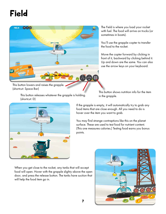### Field



The Field is where you load your rocket with fuel. The food will arrive on trucks (or sometimes in boats).

You'll use the grapple-copter to transfer the food to the rocket.

Move the copter forward by clicking in front of it, backward by clicking behind it. Up and down are the same. You can also use the arrow keys on your keyboard.

This button lowers and raises the grapple. (shortcut: Space Bar)

> This button releases whatever the grapple is holding. (shortcut: D)

This button shows nutrition info for the item in the grapple.



If the grapple is empty, it will automatically try to grab any food items that are close enough. All you need to do is hover over the item you want to grab.

You may find strange contraptions like this on the planet surface. These are used to test food for nutrient content. (This one measures calories.) Testing food earns you bonus points.

When you get close to the rocket, any tanks that will accept food will open. Hover with the grapple slighty above the open door, and press the release button. The tanks have suction that will help the food item go in.

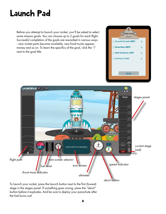#### Launch Pad

Before you attempt to launch your rocket, you'll be asked to select some mission goals. You can choose up to 2 goals for each flight. Successful completion of the goals are rewarded in various ways - new rocket parts become available, new food trucks appear, money and so on. To learn the specifics of the goal, click the "i" next to the goal title.





stage in the stages panel. If something goes wrong, press the "abort" button before it explodes. And be sure to deploy your parachute after the fuel burns out!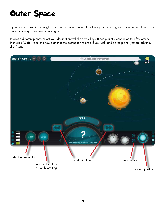#### Outer Space

If your rocket goes high enough, you'll reach Outer Space. Once there you can navigate to other other planets. Each planet has unique traits and challenges.

To orbit a different planet, select your destination with the arrow keys. (Each planet is connected to a few others.) Then click "GoTo" to set the new planet as the destination to orbit. If you wish land on the planet you are orbiting, click "Land."

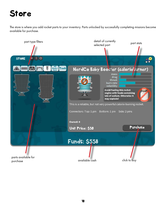#### Store

The store is where you add rocket parts to your inventory. Parts unlocked by successfully completing missions become available for purchase.